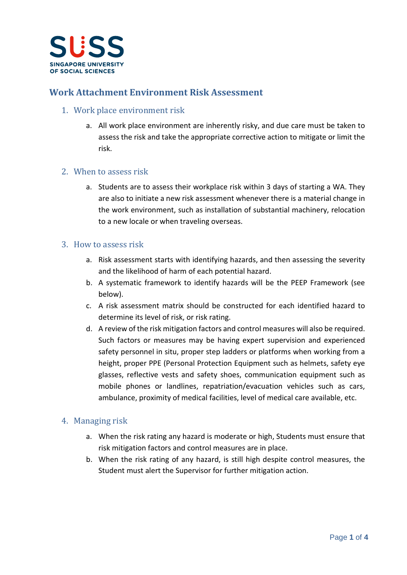

## **Work Attachment Environment Risk Assessment**

## 1. Work place environment risk

a. All work place environment are inherently risky, and due care must be taken to assess the risk and take the appropriate corrective action to mitigate or limit the risk.

#### 2. When to assess risk

a. Students are to assess their workplace risk within 3 days of starting a WA. They are also to initiate a new risk assessment whenever there is a material change in the work environment, such as installation of substantial machinery, relocation to a new locale or when traveling overseas.

#### 3. How to assess risk

- a. Risk assessment starts with identifying hazards, and then assessing the severity and the likelihood of harm of each potential hazard.
- b. A systematic framework to identify hazards will be the PEEP Framework (see below).
- c. A risk assessment matrix should be constructed for each identified hazard to determine its level of risk, or risk rating.
- d. A review of the risk mitigation factors and control measures will also be required. Such factors or measures may be having expert supervision and experienced safety personnel in situ, proper step ladders or platforms when working from a height, proper PPE (Personal Protection Equipment such as helmets, safety eye glasses, reflective vests and safety shoes, communication equipment such as mobile phones or landlines, repatriation/evacuation vehicles such as cars, ambulance, proximity of medical facilities, level of medical care available, etc.

## 4. Managing risk

- a. When the risk rating any hazard is moderate or high, Students must ensure that risk mitigation factors and control measures are in place.
- b. When the risk rating of any hazard, is still high despite control measures, the Student must alert the Supervisor for further mitigation action.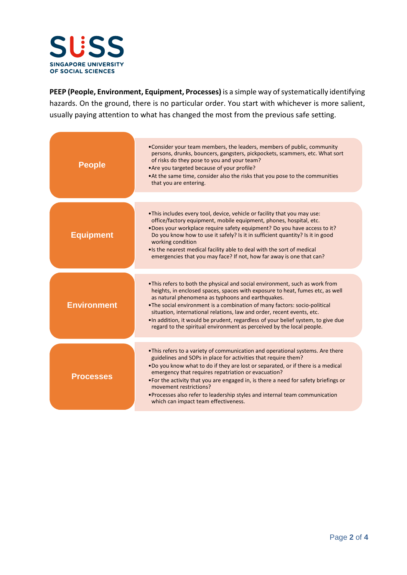

**PEEP (People, Environment, Equipment, Processes)** is a simple way of systematically identifying hazards. On the ground, there is no particular order. You start with whichever is more salient, usually paying attention to what has changed the most from the previous safe setting.

| <b>People</b>      | • Consider your team members, the leaders, members of public, community<br>persons, drunks, bouncers, gangsters, pickpockets, scammers, etc. What sort<br>of risks do they pose to you and your team?<br>. Are you targeted because of your profile?<br>• At the same time, consider also the risks that you pose to the communities<br>that you are entering.                                                                                                                                                                           |  |  |  |
|--------------------|------------------------------------------------------------------------------------------------------------------------------------------------------------------------------------------------------------------------------------------------------------------------------------------------------------------------------------------------------------------------------------------------------------------------------------------------------------------------------------------------------------------------------------------|--|--|--|
| <b>Equipment</b>   | • This includes every tool, device, vehicle or facility that you may use:<br>office/factory equipment, mobile equipment, phones, hospital, etc.<br>.Does your workplace require safety equipment? Do you have access to it?<br>Do you know how to use it safely? Is it in sufficient quantity? Is it in good<br>working condition<br>• Is the nearest medical facility able to deal with the sort of medical<br>emergencies that you may face? If not, how far away is one that can?                                                     |  |  |  |
| <b>Environment</b> | . This refers to both the physical and social environment, such as work from<br>heights, in enclosed spaces, spaces with exposure to heat, fumes etc, as well<br>as natural phenomena as typhoons and earthquakes.<br>• The social environment is a combination of many factors: socio-political<br>situation, international relations, law and order, recent events, etc.<br>. In addition, it would be prudent, regardless of your belief system, to give due<br>regard to the spiritual environment as perceived by the local people. |  |  |  |
| <b>Processes</b>   | . This refers to a variety of communication and operational systems. Are there<br>guidelines and SOPs in place for activities that require them?<br>. Do you know what to do if they are lost or separated, or if there is a medical<br>emergency that requires repatriation or evacuation?<br>• For the activity that you are engaged in, is there a need for safety briefings or<br>movement restrictions?<br>• Processes also refer to leadership styles and internal team communication<br>which can impact team effectiveness.      |  |  |  |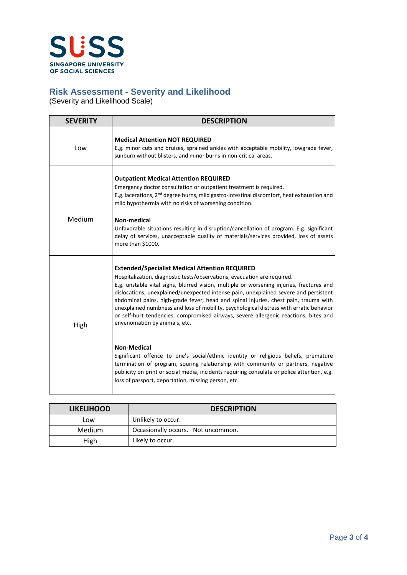

# **Risk Assessment - Severity and Likelihood**

(Severity and Likelihood Scale)

| <b>SEVERITY</b> | <b>DESCRIPTION</b>                                                                                                                                                                                                                                                                                                                                                                                                                                                                                                                                                       |  |  |
|-----------------|--------------------------------------------------------------------------------------------------------------------------------------------------------------------------------------------------------------------------------------------------------------------------------------------------------------------------------------------------------------------------------------------------------------------------------------------------------------------------------------------------------------------------------------------------------------------------|--|--|
| Low             | <b>Medical Attention NOT REQUIRED</b><br>E.g. minor cuts and bruises, sprained ankles with acceptable mobility, lowgrade fever,<br>sunburn without blisters, and minor burns in non-critical areas.                                                                                                                                                                                                                                                                                                                                                                      |  |  |
| Medium          | <b>Outpatient Medical Attention REQUIRED</b><br>Emergency doctor consultation or outpatient treatment is required.<br>E.g. lacerations, 2 <sup>nd</sup> degree burns, mild gastro-intestinal discomfort, heat exhaustion and<br>mild hypothermia with no risks of worsening condition.<br>Non-medical<br>Unfavorable situations resulting in disruption/cancellation of program. E.g. significant                                                                                                                                                                        |  |  |
|                 | delay of services, unacceptable quality of materials/services provided, loss of assets<br>more than \$1000.                                                                                                                                                                                                                                                                                                                                                                                                                                                              |  |  |
|                 | <b>Extended/Specialist Medical Attention REQUIRED</b>                                                                                                                                                                                                                                                                                                                                                                                                                                                                                                                    |  |  |
| High            | Hospitalization, diagnostic tests/observations, evacuation are required.<br>E.g. unstable vital signs, blurred vision, multiple or worsening injuries, fractures and<br>dislocations, unexplained/unexpected intense pain, unexplained severe and persistent<br>abdominal pains, high-grade fever, head and spinal injuries, chest pain, trauma with<br>unexplained numbness and loss of mobility, psychological distress with erratic behavior<br>or self-hurt tendencies, compromised airways, severe allergenic reactions, bites and<br>envenomation by animals, etc. |  |  |
|                 | <b>Non-Medical</b><br>Significant offence to one's social/ethnic identity or religious beliefs, premature<br>termination of program, souring relationship with community or partners, negative<br>publicity on print or social media, incidents requiring consulate or police attention, e.g.<br>loss of passport, deportation, missing person, etc.                                                                                                                                                                                                                     |  |  |

| <b>LIKELIHOOD</b> | <b>DESCRIPTION</b>                 |  |  |
|-------------------|------------------------------------|--|--|
| Low               | Unlikely to occur.                 |  |  |
| <b>Medium</b>     | Occasionally occurs. Not uncommon. |  |  |
| High              | Likely to occur.                   |  |  |